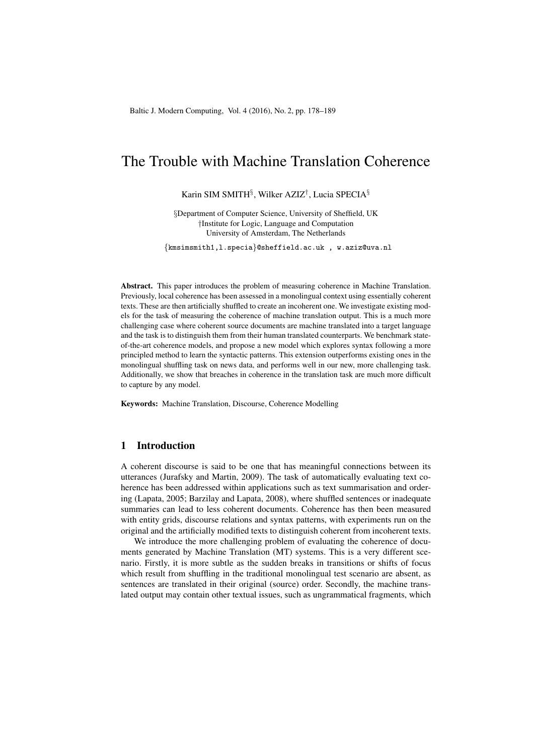# The Trouble with Machine Translation Coherence

Karin SIM SMITH§ , Wilker AZIZ† , Lucia SPECIA§

§Department of Computer Science, University of Sheffield, UK †Institute for Logic, Language and Computation University of Amsterdam, The Netherlands

{kmsimsmith1,l.specia}@sheffield.ac.uk , w.aziz@uva.nl

Abstract. This paper introduces the problem of measuring coherence in Machine Translation. Previously, local coherence has been assessed in a monolingual context using essentially coherent texts. These are then artificially shuffled to create an incoherent one. We investigate existing models for the task of measuring the coherence of machine translation output. This is a much more challenging case where coherent source documents are machine translated into a target language and the task is to distinguish them from their human translated counterparts. We benchmark stateof-the-art coherence models, and propose a new model which explores syntax following a more principled method to learn the syntactic patterns. This extension outperforms existing ones in the monolingual shuffling task on news data, and performs well in our new, more challenging task. Additionally, we show that breaches in coherence in the translation task are much more difficult to capture by any model.

Keywords: Machine Translation, Discourse, Coherence Modelling

# 1 Introduction

A coherent discourse is said to be one that has meaningful connections between its utterances (Jurafsky and Martin, 2009). The task of automatically evaluating text coherence has been addressed within applications such as text summarisation and ordering (Lapata, 2005; Barzilay and Lapata, 2008), where shuffled sentences or inadequate summaries can lead to less coherent documents. Coherence has then been measured with entity grids, discourse relations and syntax patterns, with experiments run on the original and the artificially modified texts to distinguish coherent from incoherent texts.

We introduce the more challenging problem of evaluating the coherence of documents generated by Machine Translation (MT) systems. This is a very different scenario. Firstly, it is more subtle as the sudden breaks in transitions or shifts of focus which result from shuffling in the traditional monolingual test scenario are absent, as sentences are translated in their original (source) order. Secondly, the machine translated output may contain other textual issues, such as ungrammatical fragments, which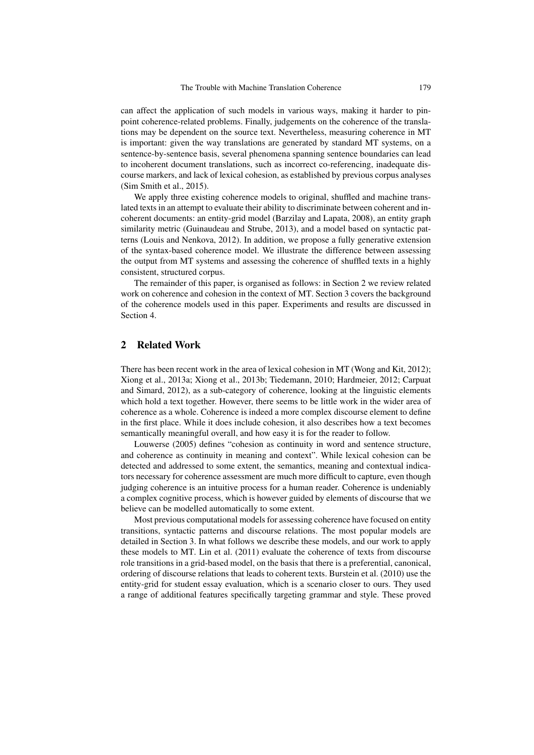can affect the application of such models in various ways, making it harder to pinpoint coherence-related problems. Finally, judgements on the coherence of the translations may be dependent on the source text. Nevertheless, measuring coherence in MT is important: given the way translations are generated by standard MT systems, on a sentence-by-sentence basis, several phenomena spanning sentence boundaries can lead to incoherent document translations, such as incorrect co-referencing, inadequate discourse markers, and lack of lexical cohesion, as established by previous corpus analyses (Sim Smith et al., 2015).

We apply three existing coherence models to original, shuffled and machine translated texts in an attempt to evaluate their ability to discriminate between coherent and incoherent documents: an entity-grid model (Barzilay and Lapata, 2008), an entity graph similarity metric (Guinaudeau and Strube, 2013), and a model based on syntactic patterns (Louis and Nenkova, 2012). In addition, we propose a fully generative extension of the syntax-based coherence model. We illustrate the difference between assessing the output from MT systems and assessing the coherence of shuffled texts in a highly consistent, structured corpus.

The remainder of this paper, is organised as follows: in Section 2 we review related work on coherence and cohesion in the context of MT. Section 3 covers the background of the coherence models used in this paper. Experiments and results are discussed in Section 4.

# 2 Related Work

There has been recent work in the area of lexical cohesion in MT (Wong and Kit, 2012); Xiong et al., 2013a; Xiong et al., 2013b; Tiedemann, 2010; Hardmeier, 2012; Carpuat and Simard, 2012), as a sub-category of coherence, looking at the linguistic elements which hold a text together. However, there seems to be little work in the wider area of coherence as a whole. Coherence is indeed a more complex discourse element to define in the first place. While it does include cohesion, it also describes how a text becomes semantically meaningful overall, and how easy it is for the reader to follow.

Louwerse (2005) defines "cohesion as continuity in word and sentence structure, and coherence as continuity in meaning and context". While lexical cohesion can be detected and addressed to some extent, the semantics, meaning and contextual indicators necessary for coherence assessment are much more difficult to capture, even though judging coherence is an intuitive process for a human reader. Coherence is undeniably a complex cognitive process, which is however guided by elements of discourse that we believe can be modelled automatically to some extent.

Most previous computational models for assessing coherence have focused on entity transitions, syntactic patterns and discourse relations. The most popular models are detailed in Section 3. In what follows we describe these models, and our work to apply these models to MT. Lin et al. (2011) evaluate the coherence of texts from discourse role transitions in a grid-based model, on the basis that there is a preferential, canonical, ordering of discourse relations that leads to coherent texts. Burstein et al. (2010) use the entity-grid for student essay evaluation, which is a scenario closer to ours. They used a range of additional features specifically targeting grammar and style. These proved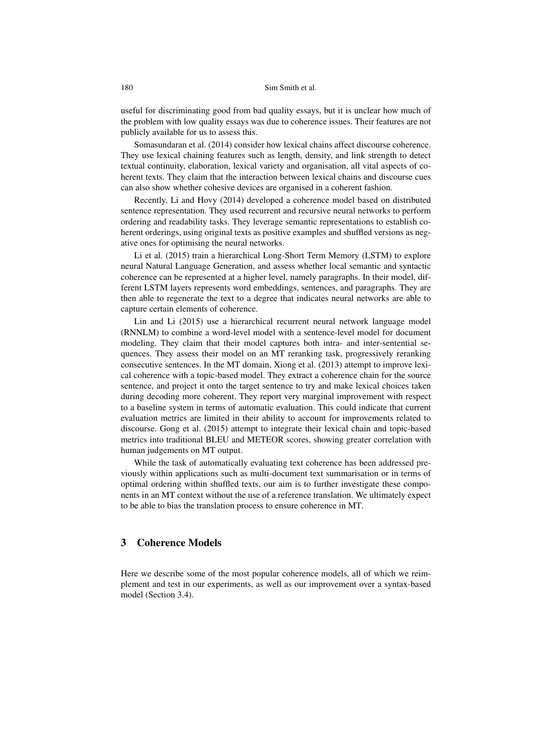## 180 Sim Smith et al.

useful for discriminating good from bad quality essays, but it is unclear how much of the problem with low quality essays was due to coherence issues. Their features are not publicly available for us to assess this.

Somasundaran et al. (2014) consider how lexical chains affect discourse coherence. They use lexical chaining features such as length, density, and link strength to detect textual continuity, elaboration, lexical variety and organisation, all vital aspects of coherent texts. They claim that the interaction between lexical chains and discourse cues can also show whether cohesive devices are organised in a coherent fashion.

Recently, Li and Hovy (2014) developed a coherence model based on distributed sentence representation. They used recurrent and recursive neural networks to perform ordering and readability tasks. They leverage semantic representations to establish coherent orderings, using original texts as positive examples and shuffled versions as negative ones for optimising the neural networks.

Li et al. (2015) train a hierarchical Long-Short Term Memory (LSTM) to explore neural Natural Language Generation, and assess whether local semantic and syntactic coherence can be represented at a higher level, namely paragraphs. In their model, different LSTM layers represents word embeddings, sentences, and paragraphs. They are then able to regenerate the text to a degree that indicates neural networks are able to capture certain elements of coherence.

Lin and Li (2015) use a hierarchical recurrent neural network language model (RNNLM) to combine a word-level model with a sentence-level model for document modeling. They claim that their model captures both intra- and inter-sentential sequences. They assess their model on an MT reranking task, progressively reranking consecutive sentences. In the MT domain, Xiong et al. (2013) attempt to improve lexical coherence with a topic-based model. They extract a coherence chain for the source sentence, and project it onto the target sentence to try and make lexical choices taken during decoding more coherent. They report very marginal improvement with respect to a baseline system in terms of automatic evaluation. This could indicate that current evaluation metrics are limited in their ability to account for improvements related to discourse. Gong et al. (2015) attempt to integrate their lexical chain and topic-based metrics into traditional BLEU and METEOR scores, showing greater correlation with human judgements on MT output.

While the task of automatically evaluating text coherence has been addressed previously within applications such as multi-document text summarisation or in terms of optimal ordering within shuffled texts, our aim is to further investigate these components in an MT context without the use of a reference translation. We ultimately expect to be able to bias the translation process to ensure coherence in MT.

## 3 Coherence Models

Here we describe some of the most popular coherence models, all of which we reimplement and test in our experiments, as well as our improvement over a syntax-based model (Section 3.4).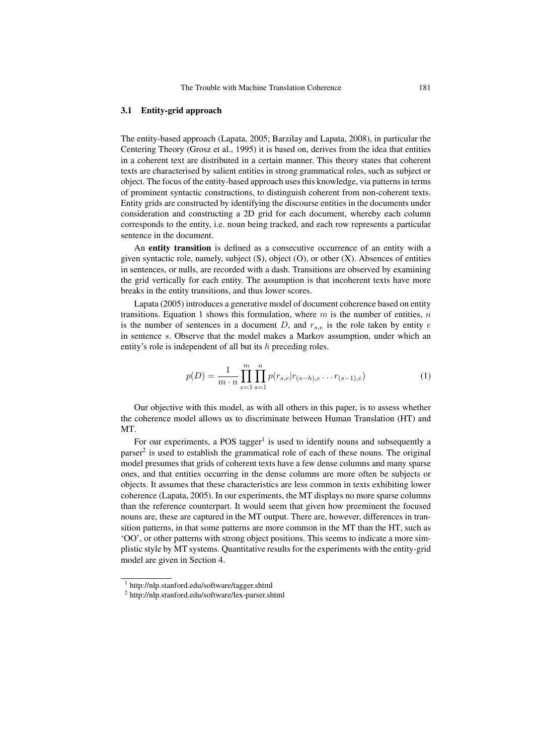## 3.1 Entity-grid approach

The entity-based approach (Lapata, 2005; Barzilay and Lapata, 2008), in particular the Centering Theory (Grosz et al., 1995) it is based on, derives from the idea that entities in a coherent text are distributed in a certain manner. This theory states that coherent texts are characterised by salient entities in strong grammatical roles, such as subject or object. The focus of the entity-based approach uses this knowledge, via patterns in terms of prominent syntactic constructions, to distinguish coherent from non-coherent texts. Entity grids are constructed by identifying the discourse entities in the documents under consideration and constructing a 2D grid for each document, whereby each column corresponds to the entity, i.e. noun being tracked, and each row represents a particular sentence in the document.

An entity transition is defined as a consecutive occurrence of an entity with a given syntactic role, namely, subject  $(S)$ , object  $(O)$ , or other  $(X)$ . Absences of entities in sentences, or nulls, are recorded with a dash. Transitions are observed by examining the grid vertically for each entity. The assumption is that incoherent texts have more breaks in the entity transitions, and thus lower scores.

Lapata (2005) introduces a generative model of document coherence based on entity transitions. Equation 1 shows this formulation, where m is the number of entities, n is the number of sentences in a document  $D$ , and  $r_{s,e}$  is the role taken by entity  $e$ in sentence s. Observe that the model makes a Markov assumption, under which an entity's role is independent of all but its  $h$  preceding roles.

$$
p(D) = \frac{1}{m \cdot n} \prod_{e=1}^{m} \prod_{s=1}^{n} p(r_{s,e} | r_{(s-h),e} \dots r_{(s-1),e})
$$
 (1)

Our objective with this model, as with all others in this paper, is to assess whether the coherence model allows us to discriminate between Human Translation (HT) and MT.

For our experiments, a POS tagger<sup>1</sup> is used to identify nouns and subsequently a parser<sup>2</sup> is used to establish the grammatical role of each of these nouns. The original model presumes that grids of coherent texts have a few dense columns and many sparse ones, and that entities occurring in the dense columns are more often be subjects or objects. It assumes that these characteristics are less common in texts exhibiting lower coherence (Lapata, 2005). In our experiments, the MT displays no more sparse columns than the reference counterpart. It would seem that given how preeminent the focused nouns are, these are captured in the MT output. There are, however, differences in transition patterns, in that some patterns are more common in the MT than the HT, such as 'OO', or other patterns with strong object positions. This seems to indicate a more simplistic style by MT systems. Quantitative results for the experiments with the entity-grid model are given in Section 4.

<sup>1</sup> http://nlp.stanford.edu/software/tagger.shtml

<sup>2</sup> http://nlp.stanford.edu/software/lex-parser.shtml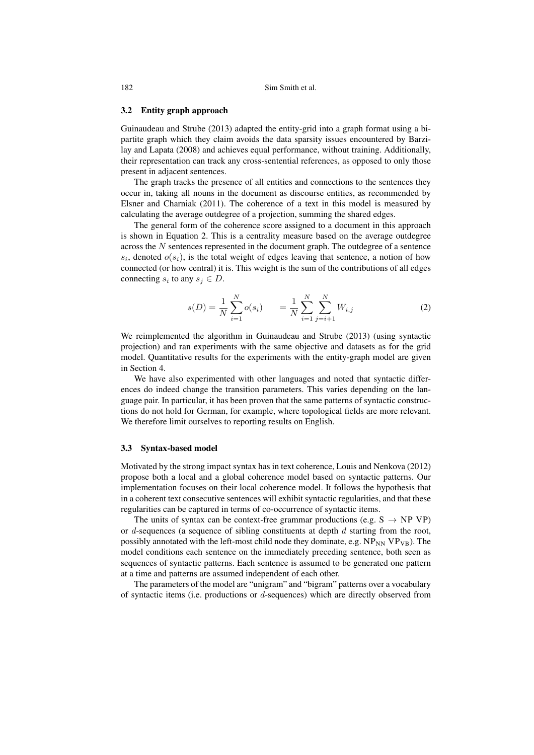## 3.2 Entity graph approach

Guinaudeau and Strube (2013) adapted the entity-grid into a graph format using a bipartite graph which they claim avoids the data sparsity issues encountered by Barzilay and Lapata (2008) and achieves equal performance, without training. Additionally, their representation can track any cross-sentential references, as opposed to only those present in adjacent sentences.

The graph tracks the presence of all entities and connections to the sentences they occur in, taking all nouns in the document as discourse entities, as recommended by Elsner and Charniak (2011). The coherence of a text in this model is measured by calculating the average outdegree of a projection, summing the shared edges.

The general form of the coherence score assigned to a document in this approach is shown in Equation 2. This is a centrality measure based on the average outdegree across the  $N$  sentences represented in the document graph. The outdegree of a sentence  $s_i$ , denoted  $o(s_i)$ , is the total weight of edges leaving that sentence, a notion of how connected (or how central) it is. This weight is the sum of the contributions of all edges connecting  $s_i$  to any  $s_j \in D$ .

$$
s(D) = \frac{1}{N} \sum_{i=1}^{N} o(s_i) \qquad = \frac{1}{N} \sum_{i=1}^{N} \sum_{j=i+1}^{N} W_{i,j} \tag{2}
$$

We reimplemented the algorithm in Guinaudeau and Strube (2013) (using syntactic projection) and ran experiments with the same objective and datasets as for the grid model. Quantitative results for the experiments with the entity-graph model are given in Section 4.

We have also experimented with other languages and noted that syntactic differences do indeed change the transition parameters. This varies depending on the language pair. In particular, it has been proven that the same patterns of syntactic constructions do not hold for German, for example, where topological fields are more relevant. We therefore limit ourselves to reporting results on English.

#### 3.3 Syntax-based model

Motivated by the strong impact syntax has in text coherence, Louis and Nenkova (2012) propose both a local and a global coherence model based on syntactic patterns. Our implementation focuses on their local coherence model. It follows the hypothesis that in a coherent text consecutive sentences will exhibit syntactic regularities, and that these regularities can be captured in terms of co-occurrence of syntactic items.

The units of syntax can be context-free grammar productions (e.g.  $S \rightarrow NP VP$ ) or d-sequences (a sequence of sibling constituents at depth  $d$  starting from the root, possibly annotated with the left-most child node they dominate, e.g.  $NP_{NN} VP_{VB}$ ). The model conditions each sentence on the immediately preceding sentence, both seen as sequences of syntactic patterns. Each sentence is assumed to be generated one pattern at a time and patterns are assumed independent of each other.

The parameters of the model are "unigram" and "bigram" patterns over a vocabulary of syntactic items (i.e. productions or  $d$ -sequences) which are directly observed from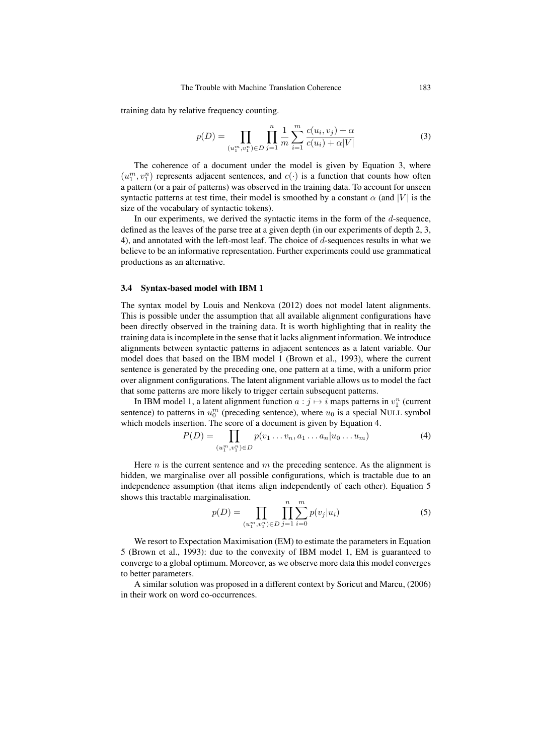training data by relative frequency counting.

$$
p(D) = \prod_{(u_1^m, v_1^n) \in D} \prod_{j=1}^n \frac{1}{m} \sum_{i=1}^m \frac{c(u_i, v_j) + \alpha}{c(u_i) + \alpha |V|}
$$
(3)

The coherence of a document under the model is given by Equation 3, where  $(u_1^m, v_1^n)$  represents adjacent sentences, and  $c(\cdot)$  is a function that counts how often a pattern (or a pair of patterns) was observed in the training data. To account for unseen syntactic patterns at test time, their model is smoothed by a constant  $\alpha$  (and |V| is the size of the vocabulary of syntactic tokens).

In our experiments, we derived the syntactic items in the form of the d-sequence, defined as the leaves of the parse tree at a given depth (in our experiments of depth 2, 3, 4), and annotated with the left-most leaf. The choice of  $d$ -sequences results in what we believe to be an informative representation. Further experiments could use grammatical productions as an alternative.

## 3.4 Syntax-based model with IBM 1

The syntax model by Louis and Nenkova (2012) does not model latent alignments. This is possible under the assumption that all available alignment configurations have been directly observed in the training data. It is worth highlighting that in reality the training data is incomplete in the sense that it lacks alignment information. We introduce alignments between syntactic patterns in adjacent sentences as a latent variable. Our model does that based on the IBM model 1 (Brown et al., 1993), where the current sentence is generated by the preceding one, one pattern at a time, with a uniform prior over alignment configurations. The latent alignment variable allows us to model the fact that some patterns are more likely to trigger certain subsequent patterns.

In IBM model 1, a latent alignment function  $a : j \mapsto i$  maps patterns in  $v_1^n$  (current sentence) to patterns in  $u_0^m$  (preceding sentence), where  $u_0$  is a special NULL symbol which models insertion. The score of a document is given by Equation 4.

$$
P(D) = \prod_{(u_1^m, v_1^n) \in D} p(v_1 \dots v_n, a_1 \dots a_n | u_0 \dots u_m)
$$
 (4)

Here  $n$  is the current sentence and  $m$  the preceding sentence. As the alignment is hidden, we marginalise over all possible configurations, which is tractable due to an independence assumption (that items align independently of each other). Equation 5 shows this tractable marginalisation.

$$
p(D) = \prod_{(u_1^m, v_1^n) \in D} \prod_{j=1}^n \sum_{i=0}^m p(v_j | u_i)
$$
 (5)

We resort to Expectation Maximisation (EM) to estimate the parameters in Equation 5 (Brown et al., 1993): due to the convexity of IBM model 1, EM is guaranteed to converge to a global optimum. Moreover, as we observe more data this model converges to better parameters.

A similar solution was proposed in a different context by Soricut and Marcu, (2006) in their work on word co-occurrences.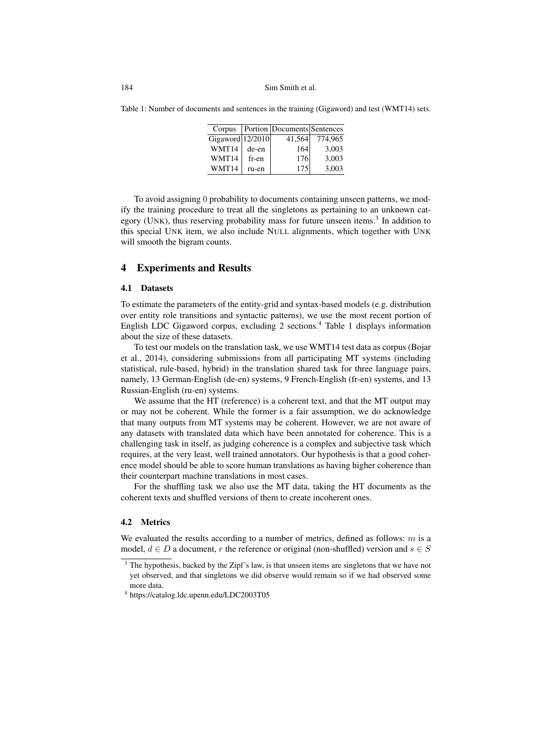Table 1: Number of documents and sentences in the training (Gigaword) and test (WMT14) sets.

| Corpus           |       | <b>Portion Documents Sentences</b> |         |
|------------------|-------|------------------------------------|---------|
| Gigaword 12/2010 |       | 41,564                             | 774,965 |
| WMT14            | de-en | 164                                | 3.003   |
| WMT14            | fr-en | 176                                | 3.003   |
| WMT14            | ru-en | 175                                | 3.003   |

To avoid assigning 0 probability to documents containing unseen patterns, we modify the training procedure to treat all the singletons as pertaining to an unknown category (UNK), thus reserving probability mass for future unseen items.<sup>3</sup> In addition to this special UNK item, we also include NULL alignments, which together with UNK will smooth the bigram counts.

## 4 Experiments and Results

## 4.1 Datasets

To estimate the parameters of the entity-grid and syntax-based models (e.g. distribution over entity role transitions and syntactic patterns), we use the most recent portion of English LDC Gigaword corpus, excluding 2 sections.<sup>4</sup> Table 1 displays information about the size of these datasets.

To test our models on the translation task, we use WMT14 test data as corpus (Bojar et al., 2014), considering submissions from all participating MT systems (including statistical, rule-based, hybrid) in the translation shared task for three language pairs, namely, 13 German-English (de-en) systems, 9 French-English (fr-en) systems, and 13 Russian-English (ru-en) systems.

We assume that the HT (reference) is a coherent text, and that the MT output may or may not be coherent. While the former is a fair assumption, we do acknowledge that many outputs from MT systems may be coherent. However, we are not aware of any datasets with translated data which have been annotated for coherence. This is a challenging task in itself, as judging coherence is a complex and subjective task which requires, at the very least, well trained annotators. Our hypothesis is that a good coherence model should be able to score human translations as having higher coherence than their counterpart machine translations in most cases.

For the shuffling task we also use the MT data, taking the HT documents as the coherent texts and shuffled versions of them to create incoherent ones.

### 4.2 Metrics

We evaluated the results according to a number of metrics, defined as follows:  $m$  is a model,  $d \in D$  a document, r the reference or original (non-shuffled) version and  $s \in S$ 

<sup>&</sup>lt;sup>3</sup> The hypothesis, backed by the Zipf's law, is that unseen items are singletons that we have not yet observed, and that singletons we did observe would remain so if we had observed some more data.

<sup>4</sup> https://catalog.ldc.upenn.edu/LDC2003T05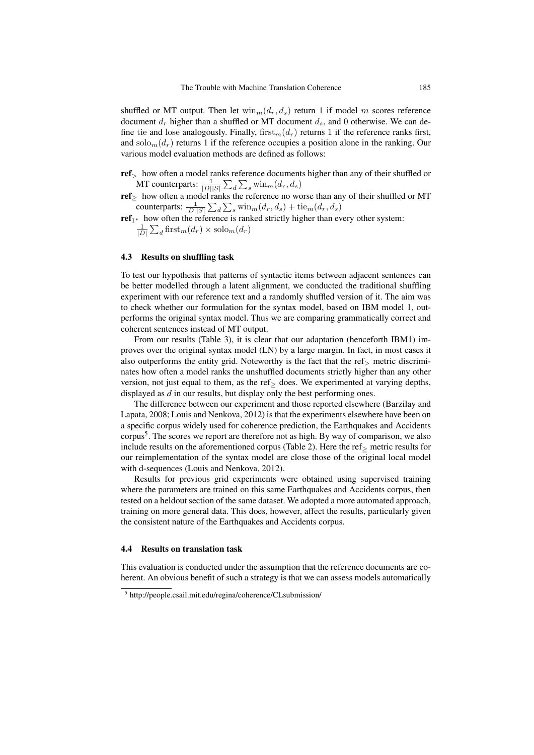shuffled or MT output. Then let  $\min_m(d_r, d_s)$  return 1 if model m scores reference document  $d_r$  higher than a shuffled or MT document  $d_s$ , and 0 otherwise. We can define tie and lose analogously. Finally, first $m(d_r)$  returns 1 if the reference ranks first, and solo<sub>m</sub> $(d<sub>r</sub>)$  returns 1 if the reference occupies a position alone in the ranking. Our various model evaluation methods are defined as follows:

- ref<sup>&</sup>gt; how often a model ranks reference documents higher than any of their shuffled or MT counterparts:  $\frac{1}{|D||S|} \sum_{d} \sum_{s} \text{win}_{m}(d_r, d_s)$
- $\text{ref}_{\geq}$  how often a model ranks the reference no worse than any of their shuffled or MT counterparts:  $\frac{1}{|D||S|} \sum_{d} \sum_{s} \text{win}_{m}(d_r, d_s) + \text{tie}_{m}(d_r, d_s)$
- $\mathbf{ref}_{1^*}$  how often the reference is ranked strictly higher than every other system:  $\frac{1}{|D|}\sum_d \operatorname{first}_m(d_r) \times \operatorname{solo}_m(d_r)$

#### 4.3 Results on shuffling task

To test our hypothesis that patterns of syntactic items between adjacent sentences can be better modelled through a latent alignment, we conducted the traditional shuffling experiment with our reference text and a randomly shuffled version of it. The aim was to check whether our formulation for the syntax model, based on IBM model 1, outperforms the original syntax model. Thus we are comparing grammatically correct and coherent sentences instead of MT output.

From our results (Table 3), it is clear that our adaptation (henceforth IBM1) improves over the original syntax model (LN) by a large margin. In fact, in most cases it also outperforms the entity grid. Noteworthy is the fact that the ref $\geq$  metric discriminates how often a model ranks the unshuffled documents strictly higher than any other version, not just equal to them, as the ref> does. We experimented at varying depths, displayed as *d* in our results, but display only the best performing ones.

The difference between our experiment and those reported elsewhere (Barzilay and Lapata, 2008; Louis and Nenkova, 2012) is that the experiments elsewhere have been on a specific corpus widely used for coherence prediction, the Earthquakes and Accidents corpus<sup>5</sup>. The scores we report are therefore not as high. By way of comparison, we also include results on the aforementioned corpus (Table 2). Here the ref<sup>≥</sup> metric results for our reimplementation of the syntax model are close those of the original local model with d-sequences (Louis and Nenkova, 2012).

Results for previous grid experiments were obtained using supervised training where the parameters are trained on this same Earthquakes and Accidents corpus, then tested on a heldout section of the same dataset. We adopted a more automated approach, training on more general data. This does, however, affect the results, particularly given the consistent nature of the Earthquakes and Accidents corpus.

#### 4.4 Results on translation task

This evaluation is conducted under the assumption that the reference documents are coherent. An obvious benefit of such a strategy is that we can assess models automatically

<sup>5</sup> http://people.csail.mit.edu/regina/coherence/CLsubmission/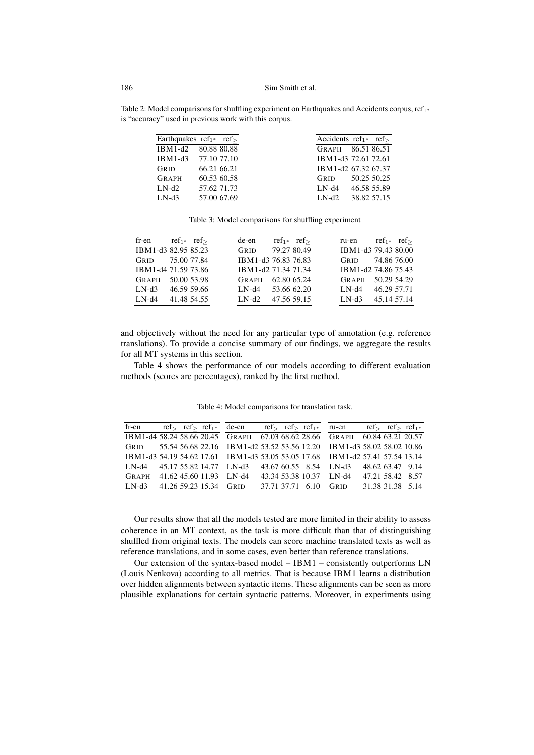## 186 Sim Smith et al.

Table 2: Model comparisons for shuffling experiment on Earthquakes and Accidents corpus, ref<sub>1</sub>∗ is "accuracy" used in previous work with this corpus.

|         | Earthquakes $ref_{1*}$ ref> | Accidents $ref_{1*}$ ref |
|---------|-----------------------------|--------------------------|
|         | IBM1-d2 80.88 80.88         | GRAPH 86.51 86.51        |
|         | IBM1-d3 77.10 77.10         | IBM1-d3 72.61 72.61      |
| GRID    | 66.21 66.21                 | IBM1-d2 67.32 67.37      |
| GRAPH   | 60.53 60.58                 | 50.25 50.25<br>GRID      |
| $LN-d2$ | 57.62 71.73                 | 46.58 55.89<br>LN-d4     |
| $LN-d3$ | 57.00 67.69                 | 38.82 57.15<br>$LM-d2$   |

Table 3: Model comparisons for shuffling experiment

| fr-en               |             | $ref_{1*}$ ref | de-en               |             | $ref_{1*}$ ref | ru-en               |             | $ref_{1*}$ ref |
|---------------------|-------------|----------------|---------------------|-------------|----------------|---------------------|-------------|----------------|
| IBM1-d3 82.95 85.23 |             |                | GRID                | 79.27 80.49 |                | IBM1-d3 79.43 80.00 |             |                |
| GRID                | 75.00 77.84 |                | IBM1-d3 76.83 76.83 |             |                | GRID                | 74.86 76.00 |                |
| IBM1-d4 71.59 73.86 |             |                | IBM1-d2 71.34 71.34 |             |                | IBM1-d2 74.86 75.43 |             |                |
| <b>GRAPH</b>        |             | 50.00 53.98    | <b>GRAPH</b>        | 62.80 65.24 |                | <b>GRAPH</b>        | 50.29 54.29 |                |
| $LM-d3$             |             | 46.59 59.66    | $LN-d4$             | 53.66 62.20 |                | $LM-d4$             | 46.29 57.71 |                |
| $LN-d4$             |             | 41.48 54.55    | $LN-d2$             | 47.56 59.15 |                | $LN-d3$             |             | 45.14 57.14    |

and objectively without the need for any particular type of annotation (e.g. reference translations). To provide a concise summary of our findings, we aggregate the results for all MT systems in this section.

Table 4 shows the performance of our models according to different evaluation methods (scores are percentages), ranked by the first method.

fr-en  $ref_>= ref_>= ref_1*$ IBM1-d4 58.24 58.66 20.45 GRID 55.54 56.68 22.16 IBM1-d3 54.19 54.62 17.61 LN-d4 45.17 55.82 14.77 LN-d3 GRAPH 41.62 45.60 11.93 LN-d4 LN-d3 41.26 59.23 15.34 GRID de-en ref<sub>></sub> ref<sub>2</sub> ref<sub>1</sub><sup>\*</sup> GRAPH 67.03 68.62 28.66 IBM1-d2 53.52 53.56 12.20 IBM1-d3 53.05 53.05 17.68 LN-d3 43.67 60.55 8.54 LN-d4 43.34 53.38 10.37 GRID 37.71 37.71 6.10 ru-en ref> ref> ref<sub>1</sub>\* GRAPH 60.84 63.21 20.57 IBM1-d3 58.02 58.02 10.86 IBM1-d2 57.41 57.54 13.14 LN-d3 48.62 63.47 9.14 LN-d4 47.21 58.42 8.57 GRID 31.38 31.38 5.14

Table 4: Model comparisons for translation task.

Our results show that all the models tested are more limited in their ability to assess coherence in an MT context, as the task is more difficult than that of distinguishing shuffled from original texts. The models can score machine translated texts as well as reference translations, and in some cases, even better than reference translations.

Our extension of the syntax-based model – IBM1 – consistently outperforms LN (Louis Nenkova) according to all metrics. That is because IBM1 learns a distribution over hidden alignments between syntactic items. These alignments can be seen as more plausible explanations for certain syntactic patterns. Moreover, in experiments using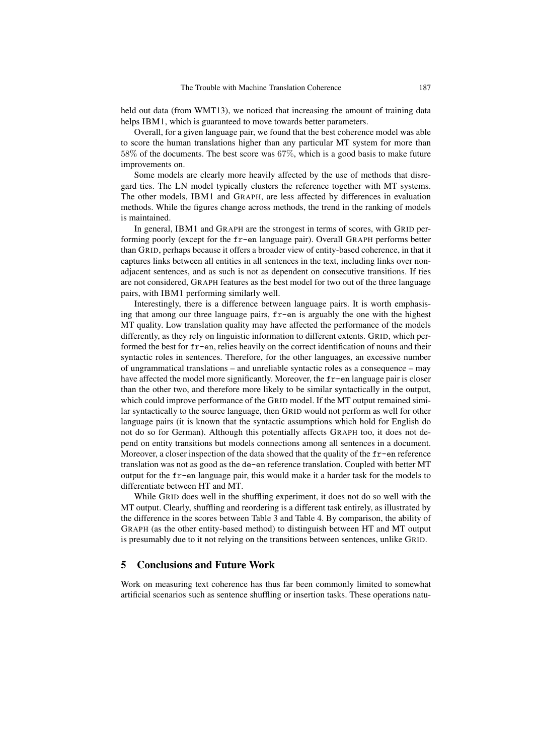held out data (from WMT13), we noticed that increasing the amount of training data helps IBM1, which is guaranteed to move towards better parameters.

Overall, for a given language pair, we found that the best coherence model was able to score the human translations higher than any particular MT system for more than 58% of the documents. The best score was 67%, which is a good basis to make future improvements on.

Some models are clearly more heavily affected by the use of methods that disregard ties. The LN model typically clusters the reference together with MT systems. The other models, IBM1 and GRAPH, are less affected by differences in evaluation methods. While the figures change across methods, the trend in the ranking of models is maintained.

In general, IBM1 and GRAPH are the strongest in terms of scores, with GRID performing poorly (except for the fr-en language pair). Overall GRAPH performs better than GRID, perhaps because it offers a broader view of entity-based coherence, in that it captures links between all entities in all sentences in the text, including links over nonadjacent sentences, and as such is not as dependent on consecutive transitions. If ties are not considered, GRAPH features as the best model for two out of the three language pairs, with IBM1 performing similarly well.

Interestingly, there is a difference between language pairs. It is worth emphasising that among our three language pairs, fr-en is arguably the one with the highest MT quality. Low translation quality may have affected the performance of the models differently, as they rely on linguistic information to different extents. GRID, which performed the best for fr-en, relies heavily on the correct identification of nouns and their syntactic roles in sentences. Therefore, for the other languages, an excessive number of ungrammatical translations – and unreliable syntactic roles as a consequence – may have affected the model more significantly. Moreover, the fr-en language pair is closer than the other two, and therefore more likely to be similar syntactically in the output, which could improve performance of the GRID model. If the MT output remained similar syntactically to the source language, then GRID would not perform as well for other language pairs (it is known that the syntactic assumptions which hold for English do not do so for German). Although this potentially affects GRAPH too, it does not depend on entity transitions but models connections among all sentences in a document. Moreover, a closer inspection of the data showed that the quality of the fr-en reference translation was not as good as the de-en reference translation. Coupled with better MT output for the fr-en language pair, this would make it a harder task for the models to differentiate between HT and MT.

While GRID does well in the shuffling experiment, it does not do so well with the MT output. Clearly, shuffling and reordering is a different task entirely, as illustrated by the difference in the scores between Table 3 and Table 4. By comparison, the ability of GRAPH (as the other entity-based method) to distinguish between HT and MT output is presumably due to it not relying on the transitions between sentences, unlike GRID.

# 5 Conclusions and Future Work

Work on measuring text coherence has thus far been commonly limited to somewhat artificial scenarios such as sentence shuffling or insertion tasks. These operations natu-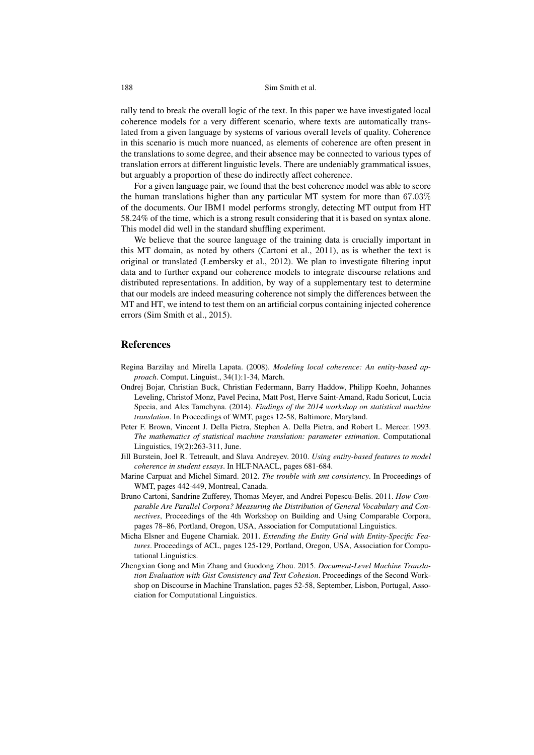## 188 Sim Smith et al.

rally tend to break the overall logic of the text. In this paper we have investigated local coherence models for a very different scenario, where texts are automatically translated from a given language by systems of various overall levels of quality. Coherence in this scenario is much more nuanced, as elements of coherence are often present in the translations to some degree, and their absence may be connected to various types of translation errors at different linguistic levels. There are undeniably grammatical issues, but arguably a proportion of these do indirectly affect coherence.

For a given language pair, we found that the best coherence model was able to score the human translations higher than any particular MT system for more than 67.03% of the documents. Our IBM1 model performs strongly, detecting MT output from HT 58.24% of the time, which is a strong result considering that it is based on syntax alone. This model did well in the standard shuffling experiment.

We believe that the source language of the training data is crucially important in this MT domain, as noted by others (Cartoni et al., 2011), as is whether the text is original or translated (Lembersky et al., 2012). We plan to investigate filtering input data and to further expand our coherence models to integrate discourse relations and distributed representations. In addition, by way of a supplementary test to determine that our models are indeed measuring coherence not simply the differences between the MT and HT, we intend to test them on an artificial corpus containing injected coherence errors (Sim Smith et al., 2015).

## References

- Regina Barzilay and Mirella Lapata. (2008). *Modeling local coherence: An entity-based approach*. Comput. Linguist., 34(1):1-34, March.
- Ondrej Bojar, Christian Buck, Christian Federmann, Barry Haddow, Philipp Koehn, Johannes Leveling, Christof Monz, Pavel Pecina, Matt Post, Herve Saint-Amand, Radu Soricut, Lucia Specia, and Ales Tamchyna. (2014). *Findings of the 2014 workshop on statistical machine translation*. In Proceedings of WMT, pages 12-58, Baltimore, Maryland.
- Peter F. Brown, Vincent J. Della Pietra, Stephen A. Della Pietra, and Robert L. Mercer. 1993. *The mathematics of statistical machine translation: parameter estimation*. Computational Linguistics, 19(2):263-311, June.
- Jill Burstein, Joel R. Tetreault, and Slava Andreyev. 2010. *Using entity-based features to model coherence in student essays*. In HLT-NAACL, pages 681-684.
- Marine Carpuat and Michel Simard. 2012. *The trouble with smt consistency*. In Proceedings of WMT, pages 442-449, Montreal, Canada.
- Bruno Cartoni, Sandrine Zufferey, Thomas Meyer, and Andrei Popescu-Belis. 2011. *How Comparable Are Parallel Corpora? Measuring the Distribution of General Vocabulary and Connectives*, Proceedings of the 4th Workshop on Building and Using Comparable Corpora, pages 78–86, Portland, Oregon, USA, Association for Computational Linguistics.
- Micha Elsner and Eugene Charniak. 2011. *Extending the Entity Grid with Entity-Specific Features*. Proceedings of ACL, pages 125-129, Portland, Oregon, USA, Association for Computational Linguistics.
- Zhengxian Gong and Min Zhang and Guodong Zhou. 2015. *Document-Level Machine Translation Evaluation with Gist Consistency and Text Cohesion*. Proceedings of the Second Workshop on Discourse in Machine Translation, pages 52-58, September, Lisbon, Portugal, Association for Computational Linguistics.